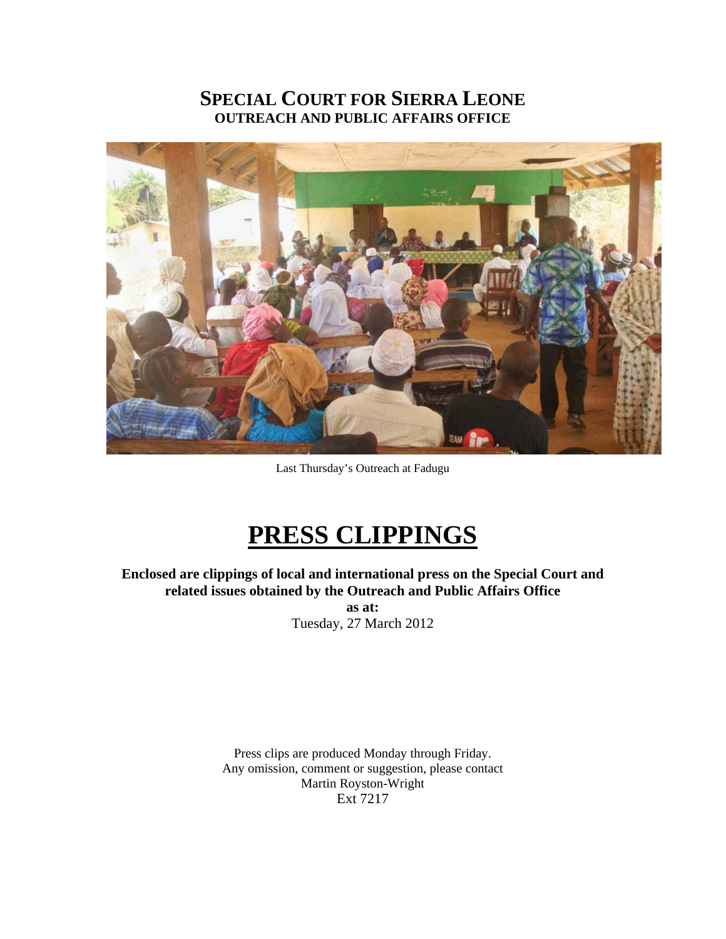## **SPECIAL COURT FOR SIERRA LEONE OUTREACH AND PUBLIC AFFAIRS OFFICE**



Last Thursday's Outreach at Fadugu

# **PRESS CLIPPINGS**

**Enclosed are clippings of local and international press on the Special Court and related issues obtained by the Outreach and Public Affairs Office** 

**as at:**  Tuesday, 27 March 2012

Press clips are produced Monday through Friday. Any omission, comment or suggestion, please contact Martin Royston-Wright Ext 7217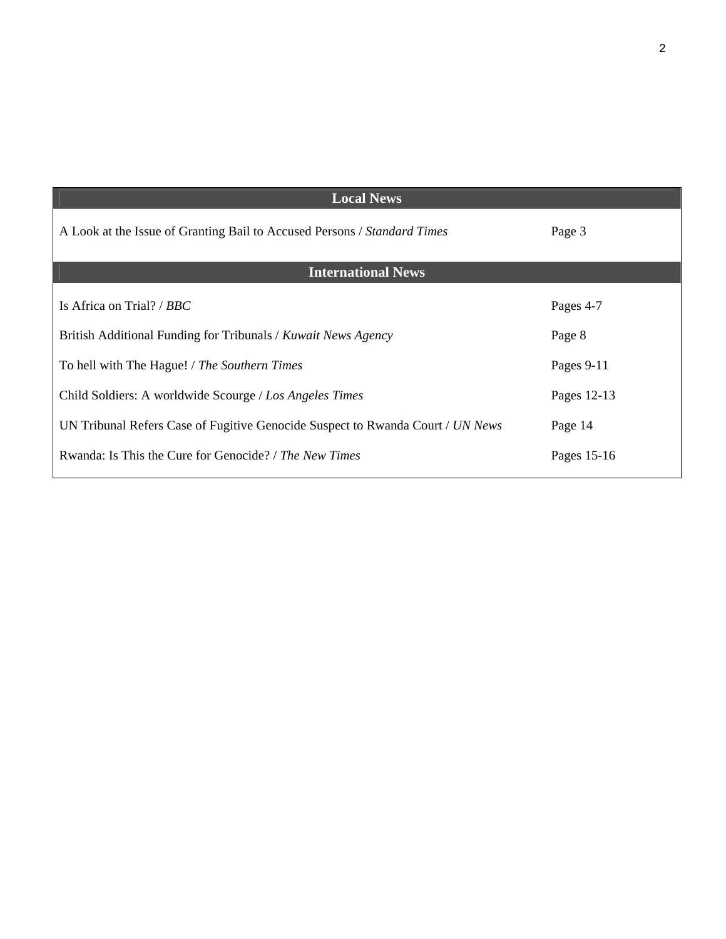| <b>Local News</b>                                                              |             |
|--------------------------------------------------------------------------------|-------------|
| A Look at the Issue of Granting Bail to Accused Persons / Standard Times       | Page 3      |
| <b>International News</b>                                                      |             |
| Is Africa on Trial? $\beta$ <i>BBC</i>                                         | Pages 4-7   |
| British Additional Funding for Tribunals / Kuwait News Agency                  | Page 8      |
| To hell with The Hague! / The Southern Times                                   | Pages 9-11  |
| Child Soldiers: A worldwide Scourge / Los Angeles Times                        | Pages 12-13 |
| UN Tribunal Refers Case of Fugitive Genocide Suspect to Rwanda Court / UN News | Page 14     |
| Rwanda: Is This the Cure for Genocide? / The New Times                         | Pages 15-16 |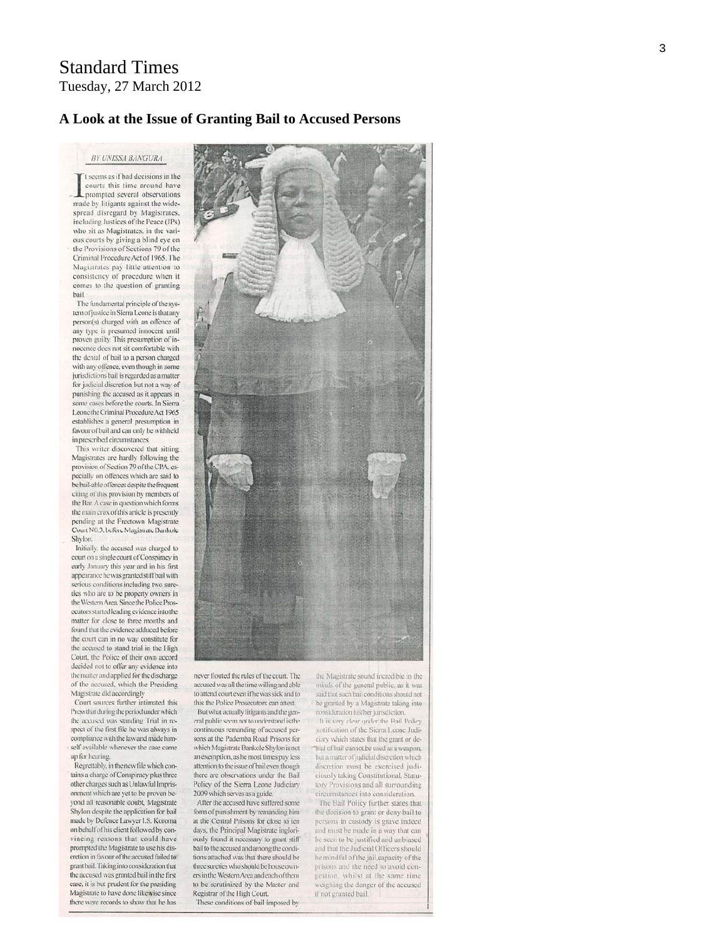### Standard Times Tuesday, 27 March 2012

#### **A Look at the Issue of Granting Bail to Accused Persons**

#### BY UNISSA BANGURA

t seems as if bad decisions in the courts this time around have prompted several observations made by litigants against the widespread disregard by Magistrates. including Justices of the Peace (JPs) who sit as Magistrates, in the various courts by giving a blind eye on the Provisions of Sections 79 of the Criminal Procedure Act of 1965. The Magistrates pay little attention to consistency of procedure when it comes to the question of granting bail

The fundamental principle of the system of justice in Sierra Leone is that any person(s) charged with an offence of any type is presumed innocent until<br>proven guilty. This presumption of innocence does not sit comfortable with the denial of bail to a person charged with any offence, even though in some jurisdictions bail is regarded as a matter for judicial discretion but not a way of punishing the accused as it appears in some cases before the courts. In Sierra Leone the Criminal Procedure Act 1965 establishes a general presumption in favour of bail and can only be withheld in prescribed circumstances.

This writer discovered that sitting Magistrates are hardly following the provision of Section 79 of the CPA, especially on offences which are said to be bail-able offences despite the frequent citing of this provision by members of the Bar. A case in question which forms the main crux of this article is presently pending at the Freetown Magistrate<br>Court N0.3, before Magistrate Bankole Shylon.

Initially, the accused was charged to court on a single count of Conspiracy in early January this year and in his first appearance he was granted stiff bail with serious conditions including two sureties who are to be property owners in the Western Area. Since the Police Prosecutors started leading evidence into the matter for close to three months and found that the evidence adduced before the court can in no way constitute for the accused to stand trial in the High Court, the Police of their own accord decided not to offer any evidence into the matter and applied for the discharge of the accused, which the Presiding Magistrate did accordingly

Court sources further intimated this Press that during the period under which the accused was standing Trial in respect of the first file he was always in compliance with the law and made himself available whenever the case came up for hearing.

Regrettably, in the new file which contains a charge of Conspiracy plus three other charges such as Unlawful Imprisonment which are yet to be proven beyond all reasonable doubt, Magistrate Shylon despite the application for bail made by Defence Lawyer I.S. Koroma on behalf of his client followed by convincing reasons that could have prompted the Magistrate to use his discretion in favour of the accused failed to grant bail. Taking into consideration that the accused was granted bail in the first case, it is but prudent for the presiding Magistrate to have done likewise since there were records to show that he has



never flouted the rules of the court. The accused was all the time willing and able to attend court even if he was sick and to this the Police Prosecutors can attest

But what actually litigants and the general public seem not to understand is the continuous remanding of accused persons at the Pademba Road Prisons for which Magistrate Bankole Shylon is not an exemption, as he most times pay less attention to the issue of bail even though there are observations under the Bail Policy of the Sierra Leone Judiciary 2009 which serves as a guide.

After the accused have suffered some form of punishment by remanding him at the Central Prisons for close to ten days, the Principal Magistrate ingloriously found it necessary to grant stiff bail to the accused and among the conditions attached was that there should be three sureties who should be house owners in the Western Area and each of them to be scrutinized by the Master and Registrar of the High Court.

These conditions of bail imposed by

the Magistrate sound incredible in the minds of the general public, as it was said that such bail conditions should not be granted by a Magistrate taking into consideration his/her jurisdiction

It is very clear under the Bail Policy justification of the Sierra Leone Judiciary which states that the grant or de-Trial of bail cannot be used as a weapon, but a matter of judicial discretion which discretion must be exercised judiciously taking Constitutional, Statutory Provisions and all surrounding circumstances into consideration

The Bail Policy further states that the decision to grant or deny bail to persons in custody is grave indeed and must be made in a way that can be seen to be justified and unbiased and that the Judicial Officers should be mindful of the jail capacity of the prisons and the need to avoid congestion, whilst at the same time weighing the danger of the accused if not granted bail.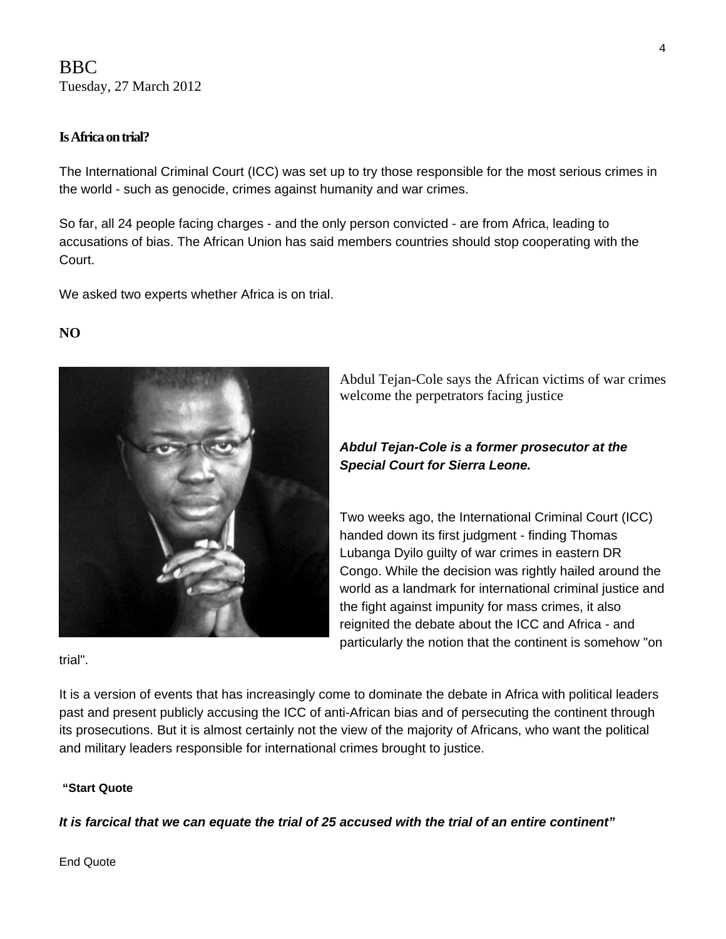BBC Tuesday, 27 March 2012

### **Is Africa on trial?**

The International Criminal Court (ICC) was set up to try those responsible for the most serious crimes in the world - such as genocide, crimes against humanity and war crimes.

So far, all 24 people facing charges - and the only person convicted - are from Africa, leading to accusations of bias. The African Union has said members countries should stop cooperating with the Court.

We asked two experts whether Africa is on trial.

### **NO**



Abdul Tejan-Cole says the African victims of war c rimes welcome the perpetrators facing justice

### *Abdul Tejan-Cole is a former prosecutor at the Special Court for Sierra Leone.*

Two weeks ago, the International Criminal Court (ICC) handed down its first judgment - finding Thomas Lubanga Dyilo guilty of war crimes in eastern DR Congo. While the decision was rightly hailed around the world as a landmark for international criminal justice and the fight against impunity for mass crimes, it also reignited the debate about the ICC and Africa - and particularly the notion that the continent is somehow "on

trial".

It is a version of events that has increasingly come to dominate the debate in Africa with political leaders past and present publicly accusing the ICC of anti-African bias and of persecuting the continent through its prosecutions. But it is almost certainly not the view of the majority of Africans, who want the political and military leaders responsible for international crimes brought to justice.

### **"Start Quote**

*It is farcical that we can equate the trial of 25 accused with the trial of an entire continent"* 

#### End Quote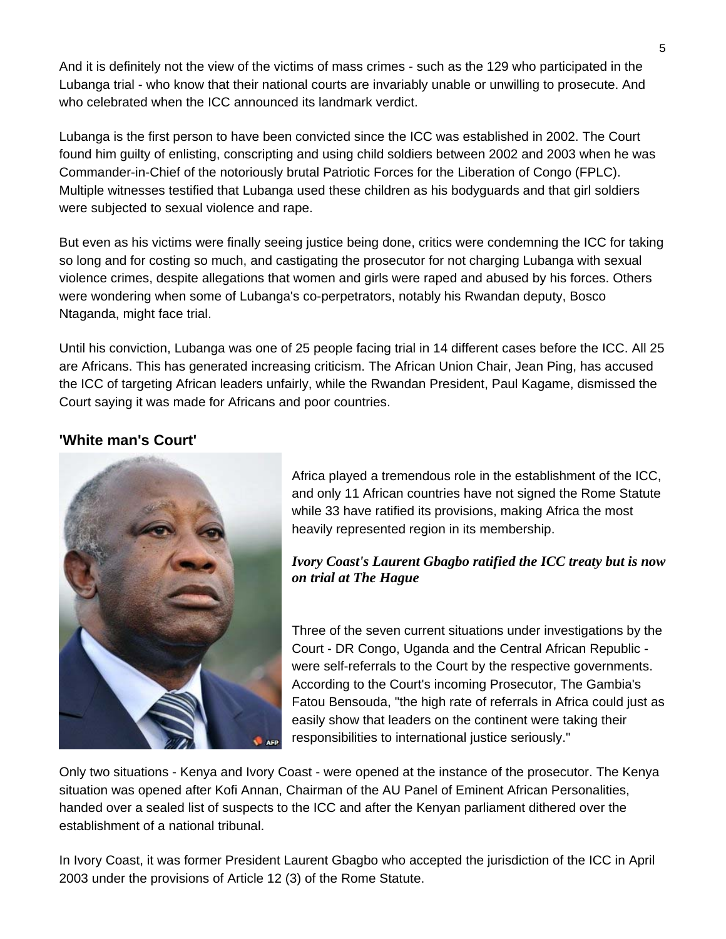And it is definitely not the view of the victims of mass crimes - such as the 129 who participated in the Lubanga trial - who know that their national courts are invariably unable or unwilling to prosecute. And who celebrated when the ICC announced its landmark verdict.

Lubanga is the first person to have been convicted since the ICC was established in 2002. The Court found him guilty of enlisting, conscripting and using child soldiers between 2002 and 2003 when he was Commander-in-Chief of the notoriously brutal Patriotic Forces for the Liberation of Congo (FPLC). Multiple witnesses testified that Lubanga used these children as his bodyguards and that girl soldiers were subjected to sexual violence and rape.

But even as his victims were finally seeing justice being done, critics were condemning the ICC for taking so long and for costing so much, and castigating the prosecutor for not charging Lubanga with sexual violence crimes, despite allegations that women and girls were raped and abused by his forces. Others were wondering when some of Lubanga's co-perpetrators, notably his Rwandan deputy, Bosco Ntaganda, might face trial.

Until his conviction, Lubanga was one of 25 people facing trial in 14 different cases before the ICC. All 25 are Africans. This has generated increasing criticism. The African Union Chair, Jean Ping, has accused the ICC of targeting African leaders unfairly, while the Rwandan President, Paul Kagame, dismissed the Court saying it was made for Africans and poor countries.

### **'White man's Court'**



Africa played a tremendous role in the establishment of the ICC, and only 11 African countries have not signed the Rome Statute while 33 have ratified its provisions, making Africa the most heavily represented region in its membership.

### *Ivory Coast's Laurent Gbagbo ratified the ICC treaty but is now on trial at The Hague*

Fatou Bensouda, "the high rate of referrals in Africa could just as Three of the seven current situations under investigations by the Court - DR Congo, Uganda and the Central African Republic were self-referrals to the Court by the respective governments. According to the Court's incoming Prosecutor, The Gambia's easily show that leaders on the continent were taking their responsibilities to international justice seriously."

Only two situations - Kenya and Ivory Coast - were opened at the instance of the prosecutor. The Kenya situation was opened after Kofi Annan, Chairman of the AU Panel of Eminent African Personalities, handed over a sealed list of suspects to the ICC and after the Kenyan parliament dithered over the establishment of a national tribunal.

In Ivory Coast, it was former President Laurent Gbagbo who accepted the jurisdiction of the ICC in April 2003 under the provisions of Article 12 (3) of the Rome Statute.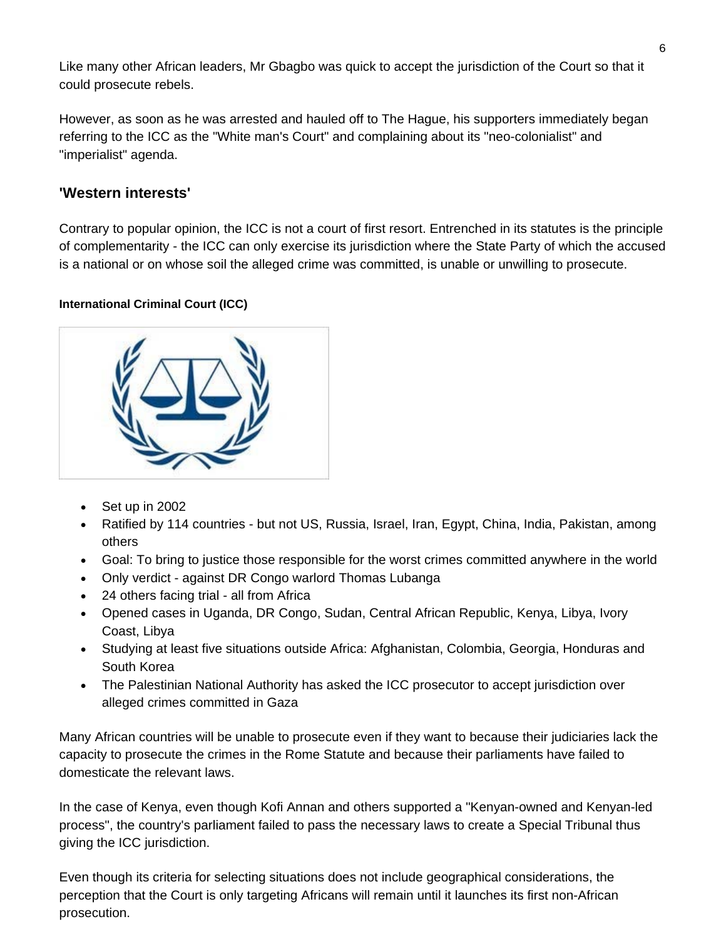Like many other African leaders, Mr Gbagbo was quick to accept the jurisdiction of the Court so that it could prosecute rebels.

However, as soon as he was arrested and hauled off to The Hague, his supporters immediately began referring to the ICC as the "White man's Court" and complaining about its "neo-colonialist" and "imperialist" agenda.

### **'Western interests'**

Contrary to popular opinion, the ICC is not a court of first resort. Entrenched in its statutes is the principle of complementarity - the ICC can only exercise its jurisdiction where the State Party of which the accused is a national or on whose soil the alleged crime was committed, is unable or unwilling to prosecute.

### **International Criminal Court (ICC)**



- Set up in 2002
- Ratified by 114 countries but not US, Russia, Israel, Iran, Egypt, China, India, Pakistan, among others
- Goal: To bring to justice those responsible for the worst crimes committed anywhere in the world
- Only verdict against DR Congo warlord Thomas Lubanga
- 24 others facing trial all from Africa
- Opened cases in Uganda, DR Congo, Sudan, Central African Republic, Kenya, Libya, Ivory Coast, Libya
- Studying at least five situations outside Africa: Afghanistan, Colombia, Georgia, Honduras and South Korea
- The Palestinian National Authority has asked the ICC prosecutor to accept jurisdiction over alleged crimes committed in Gaza

Many African countries will be unable to prosecute even if they want to because their judiciaries lack the capacity to prosecute the crimes in the Rome Statute and because their parliaments have failed to domesticate the relevant laws.

In the case of Kenya, even though Kofi Annan and others supported a "Kenyan-owned and Kenyan-led process", the country's parliament failed to pass the necessary laws to create a Special Tribunal thus giving the ICC jurisdiction.

Even though its criteria for selecting situations does not include geographical considerations, the perception that the Court is only targeting Africans will remain until it launches its first non-African prosecution.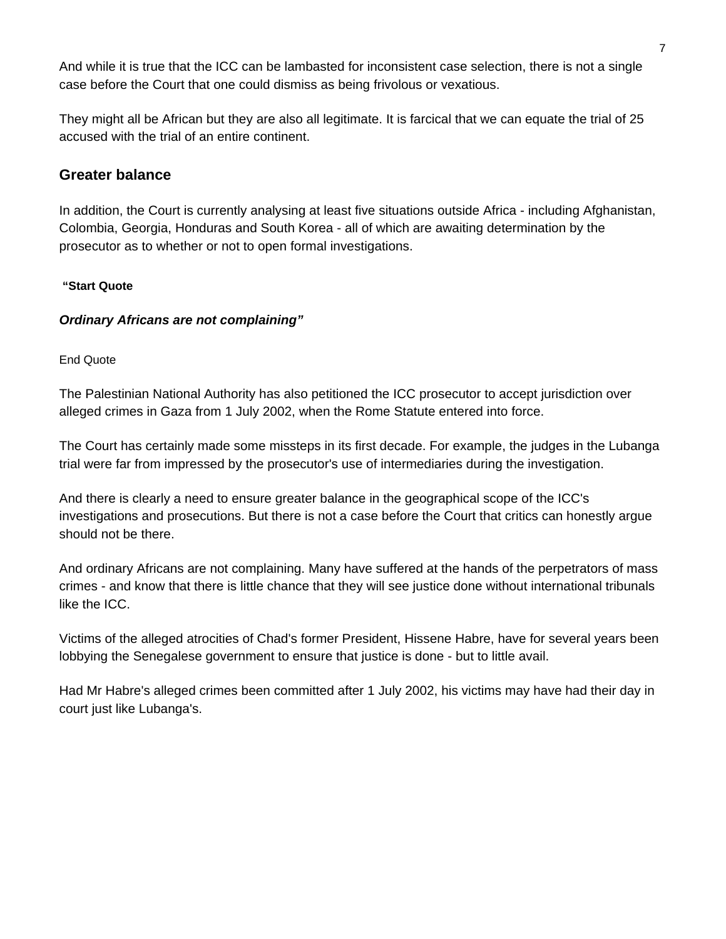And while it is true that the ICC can be lambasted for inconsistent case selection, there is not a single case before the Court that one could dismiss as being frivolous or vexatious.

They might all be African but they are also all legitimate. It is farcical that we can equate the trial of 25 accused with the trial of an entire continent.

### **Greater balance**

In addition, the Court is currently analysing at least five situations outside Africa - including Afghanistan, Colombia, Georgia, Honduras and South Korea - all of which are awaiting determination by the prosecutor as to whether or not to open formal investigations.

### **"Start Quote**

### *Ordinary Africans are not complaining"*

End Quote

The Palestinian National Authority has also petitioned the ICC prosecutor to accept jurisdiction over alleged crimes in Gaza from 1 July 2002, when the Rome Statute entered into force.

The Court has certainly made some missteps in its first decade. For example, the judges in the Lubanga trial were far from impressed by the prosecutor's use of intermediaries during the investigation.

And there is clearly a need to ensure greater balance in the geographical scope of the ICC's investigations and prosecutions. But there is not a case before the Court that critics can honestly argue should not be there.

And ordinary Africans are not complaining. Many have suffered at the hands of the perpetrators of mass crimes - and know that there is little chance that they will see justice done without international tribunals like the ICC.

Victims of the alleged atrocities of Chad's former President, Hissene Habre, have for several years been lobbying the Senegalese government to ensure that justice is done - but to little avail.

Had Mr Habre's alleged crimes been committed after 1 July 2002, his victims may have had their day in court just like Lubanga's.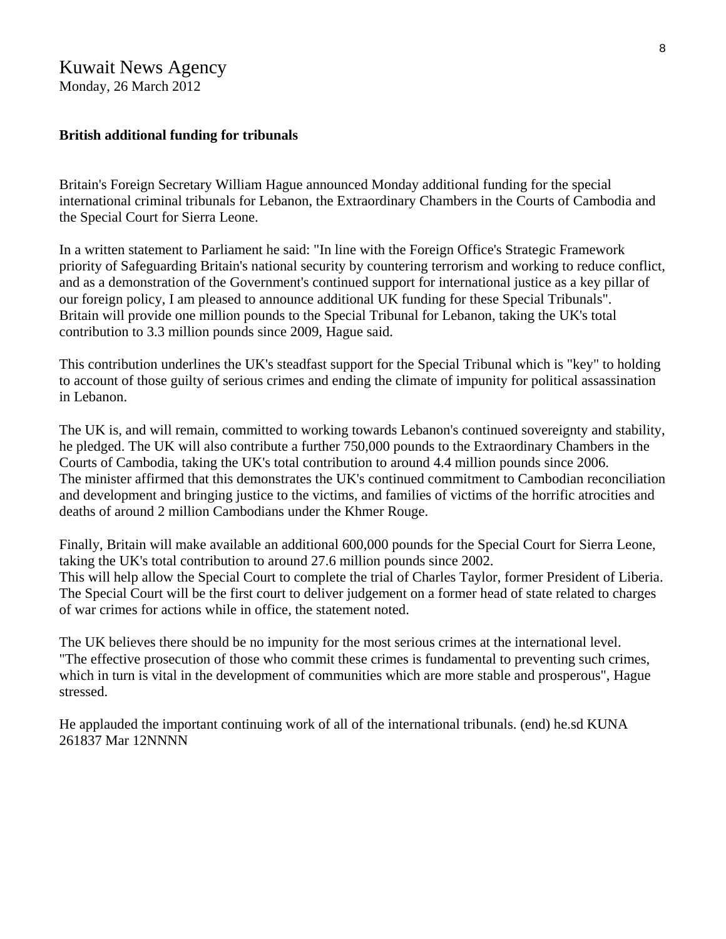### Kuwait News Agency

Monday, 26 March 2012

#### **British additional funding for tribunals**

Britain's Foreign Secretary William Hague announced Monday additional funding for the special international criminal tribunals for Lebanon, the Extraordinary Chambers in the Courts of Cambodia and the Special Court for Sierra Leone.

In a written statement to Parliament he said: "In line with the Foreign Office's Strategic Framework priority of Safeguarding Britain's national security by countering terrorism and working to reduce conflict, and as a demonstration of the Government's continued support for international justice as a key pillar of our foreign policy, I am pleased to announce additional UK funding for these Special Tribunals". Britain will provide one million pounds to the Special Tribunal for Lebanon, taking the UK's total contribution to 3.3 million pounds since 2009, Hague said.

This contribution underlines the UK's steadfast support for the Special Tribunal which is "key" to holding to account of those guilty of serious crimes and ending the climate of impunity for political assassination in Lebanon.

The UK is, and will remain, committed to working towards Lebanon's continued sovereignty and stability, he pledged. The UK will also contribute a further 750,000 pounds to the Extraordinary Chambers in the Courts of Cambodia, taking the UK's total contribution to around 4.4 million pounds since 2006. The minister affirmed that this demonstrates the UK's continued commitment to Cambodian reconciliation and development and bringing justice to the victims, and families of victims of the horrific atrocities and deaths of around 2 million Cambodians under the Khmer Rouge.

Finally, Britain will make available an additional 600,000 pounds for the Special Court for Sierra Leone, taking the UK's total contribution to around 27.6 million pounds since 2002. This will help allow the Special Court to complete the trial of Charles Taylor, former President of Liberia. The Special Court will be the first court to deliver judgement on a former head of state related to charges of war crimes for actions while in office, the statement noted.

The UK believes there should be no impunity for the most serious crimes at the international level. "The effective prosecution of those who commit these crimes is fundamental to preventing such crimes, which in turn is vital in the development of communities which are more stable and prosperous", Hague stressed.

He applauded the important continuing work of all of the international tribunals. (end) he.sd KUNA 261837 Mar 12NNNN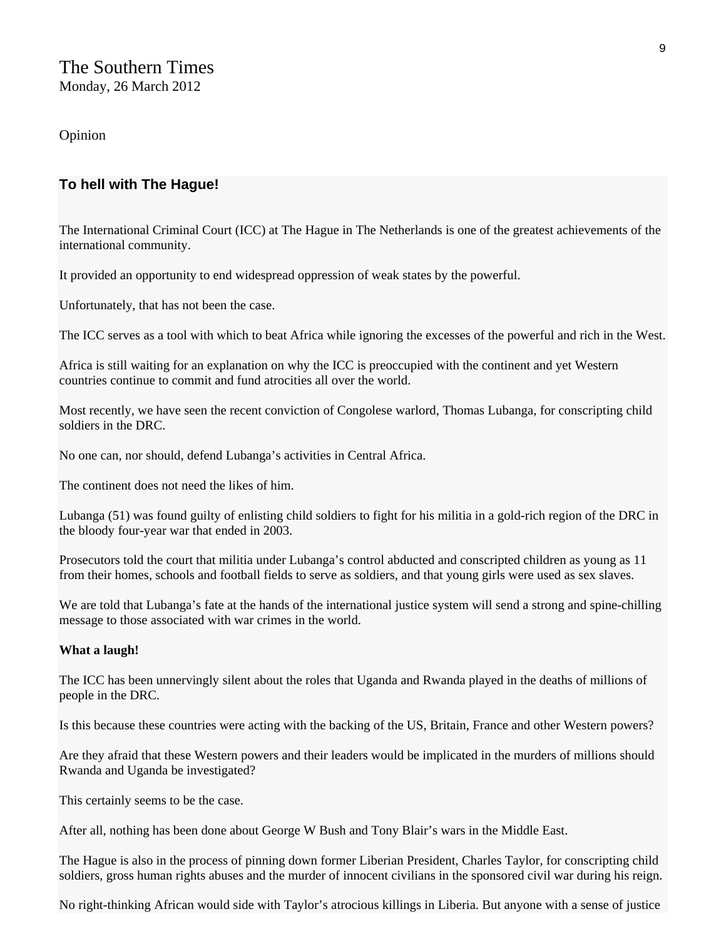### Opinion

### **To hell with The Hague!**

The International Criminal Court (ICC) at The Hague in The Netherlands is one of the greatest achievements of the international community.

It provided an opportunity to end widespread oppression of weak states by the powerful.

Unfortunately, that has not been the case.

The ICC serves as a tool with which to beat Africa while ignoring the excesses of the powerful and rich in the West.

Africa is still waiting for an explanation on why the ICC is preoccupied with the continent and yet Western countries continue to commit and fund atrocities all over the world.

Most recently, we have seen the recent conviction of Congolese warlord, Thomas Lubanga, for conscripting child soldiers in the DRC.

No one can, nor should, defend Lubanga's activities in Central Africa.

The continent does not need the likes of him.

Lubanga (51) was found guilty of enlisting child soldiers to fight for his militia in a gold-rich region of the DRC in the bloody four-year war that ended in 2003.

Prosecutors told the court that militia under Lubanga's control abducted and conscripted children as young as 11 from their homes, schools and football fields to serve as soldiers, and that young girls were used as sex slaves.

We are told that Lubanga's fate at the hands of the international justice system will send a strong and spine-chilling message to those associated with war crimes in the world.

#### **What a laugh!**

The ICC has been unnervingly silent about the roles that Uganda and Rwanda played in the deaths of millions of people in the DRC.

Is this because these countries were acting with the backing of the US, Britain, France and other Western powers?

Are they afraid that these Western powers and their leaders would be implicated in the murders of millions should Rwanda and Uganda be investigated?

This certainly seems to be the case.

After all, nothing has been done about George W Bush and Tony Blair's wars in the Middle East.

The Hague is also in the process of pinning down former Liberian President, Charles Taylor, for conscripting child soldiers, gross human rights abuses and the murder of innocent civilians in the sponsored civil war during his reign.

No right-thinking African would side with Taylor's atrocious killings in Liberia. But anyone with a sense of justice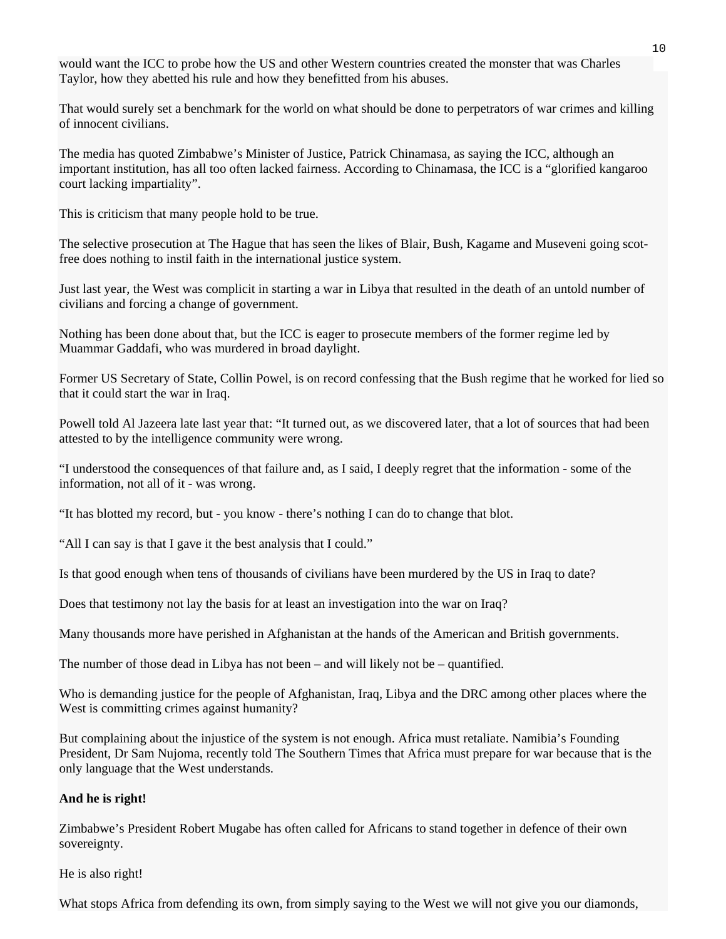would want the ICC to probe how the US and other Western countries created the monster that was Charles Taylor, how they abetted his rule and how they benefitted from his abuses.

That would surely set a benchmark for the world on what should be done to perpetrators of war crimes and killing of innocent civilians.

The media has quoted Zimbabwe's Minister of Justice, Patrick Chinamasa, as saying the ICC, although an important institution, has all too often lacked fairness. According to Chinamasa, the ICC is a "glorified kangaroo court lacking impartiality".

This is criticism that many people hold to be true.

The selective prosecution at The Hague that has seen the likes of Blair, Bush, Kagame and Museveni going scotfree does nothing to instil faith in the international justice system.

Just last year, the West was complicit in starting a war in Libya that resulted in the death of an untold number of civilians and forcing a change of government.

Nothing has been done about that, but the ICC is eager to prosecute members of the former regime led by Muammar Gaddafi, who was murdered in broad daylight.

Former US Secretary of State, Collin Powel, is on record confessing that the Bush regime that he worked for lied so that it could start the war in Iraq.

Powell told Al Jazeera late last year that: "It turned out, as we discovered later, that a lot of sources that had been attested to by the intelligence community were wrong.

"I understood the consequences of that failure and, as I said, I deeply regret that the information - some of the information, not all of it - was wrong.

"It has blotted my record, but - you know - there's nothing I can do to change that blot.

"All I can say is that I gave it the best analysis that I could."

Is that good enough when tens of thousands of civilians have been murdered by the US in Iraq to date?

Does that testimony not lay the basis for at least an investigation into the war on Iraq?

Many thousands more have perished in Afghanistan at the hands of the American and British governments.

The number of those dead in Libya has not been – and will likely not be – quantified.

Who is demanding justice for the people of Afghanistan, Iraq, Libya and the DRC among other places where the West is committing crimes against humanity?

But complaining about the injustice of the system is not enough. Africa must retaliate. Namibia's Founding President, Dr Sam Nujoma, recently told The Southern Times that Africa must prepare for war because that is the only language that the West understands.

#### **And he is right!**

Zimbabwe's President Robert Mugabe has often called for Africans to stand together in defence of their own sovereignty.

#### He is also right!

What stops Africa from defending its own, from simply saying to the West we will not give you our diamonds,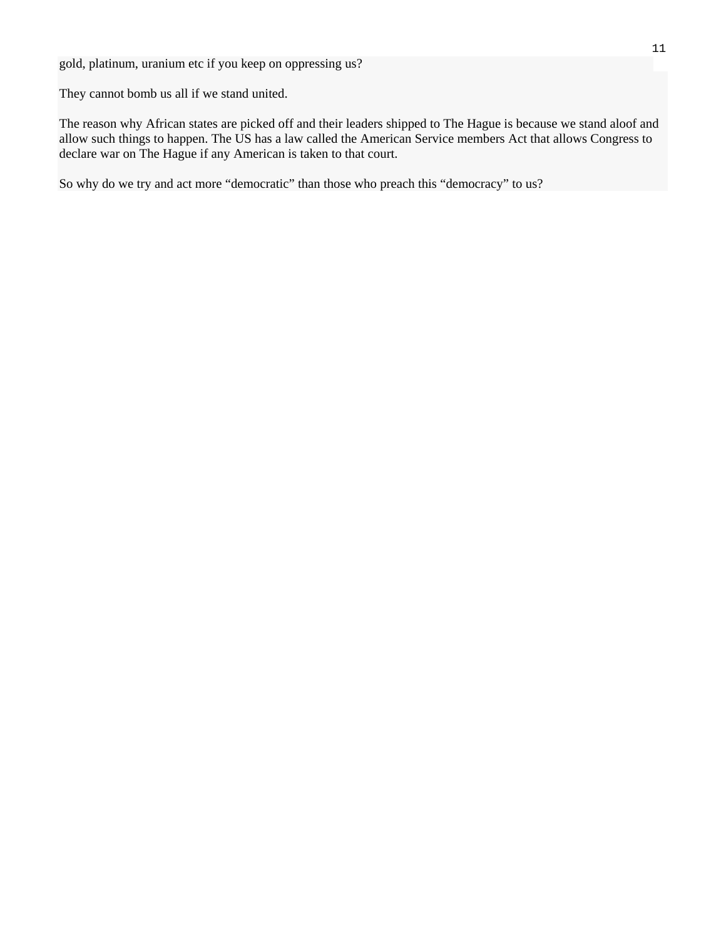gold, platinum, uranium etc if you keep on oppressing us?

They cannot bomb us all if we stand united.

The reason why African states are picked off and their leaders shipped to The Hague is because we stand aloof and allow such things to happen. The US has a law called the American Service members Act that allows Congress to declare war on The Hague if any American is taken to that court.

So why do we try and act more "democratic" than those who preach this "democracy" to us?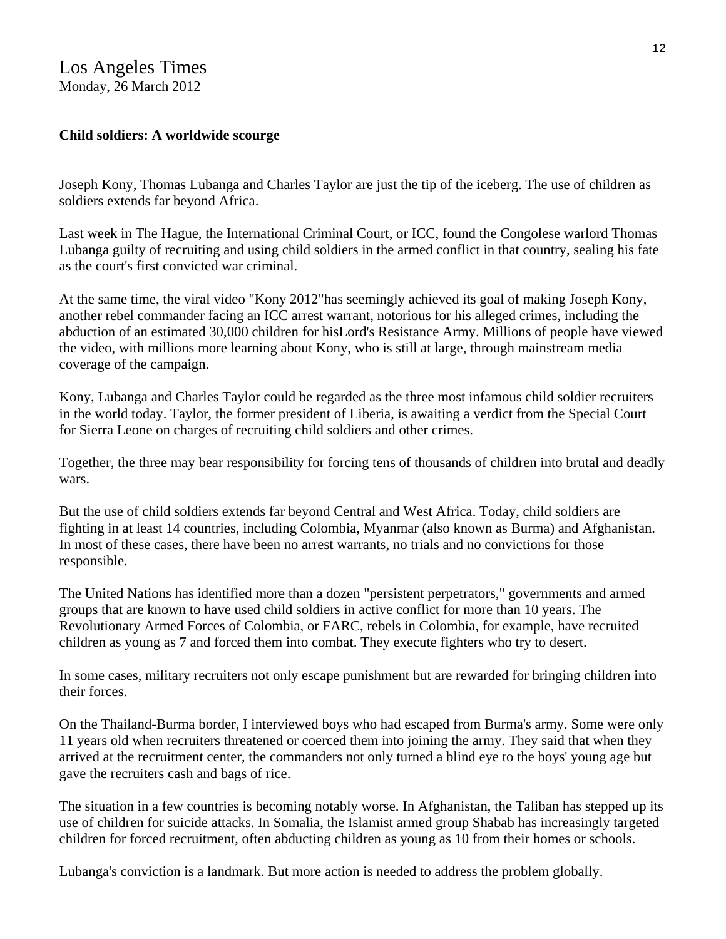### Los Angeles Times Monday, 26 March 2012

### **Child soldiers: A worldwide scourge**

Joseph Kony, Thomas Lubanga and Charles Taylor are just the tip of the iceberg. The use of children as soldiers extends far beyond Africa.

Last week in The Hague, the International Criminal Court, or ICC, found the Congolese warlord Thomas Lubanga guilty of recruiting and using child soldiers in the armed conflict in that country, sealing his fate as the court's first convicted war criminal.

At the same time, the viral video "Kony 2012"has seemingly achieved its goal of making Joseph Kony, another rebel commander facing an ICC arrest warrant, notorious for his alleged crimes, including the abduction of an estimated 30,000 children for hisLord's Resistance Army. Millions of people have viewed the video, with millions more learning about Kony, who is still at large, through mainstream media coverage of the campaign.

Kony, Lubanga and Charles Taylor could be regarded as the three most infamous child soldier recruiters in the world today. Taylor, the former president of Liberia, is awaiting a verdict from the Special Court for Sierra Leone on charges of recruiting child soldiers and other crimes.

Together, the three may bear responsibility for forcing tens of thousands of children into brutal and deadly wars.

But the use of child soldiers extends far beyond Central and West Africa. Today, child soldiers are fighting in at least 14 countries, including Colombia, Myanmar (also known as Burma) and Afghanistan. In most of these cases, there have been no arrest warrants, no trials and no convictions for those responsible.

The United Nations has identified more than a dozen "persistent perpetrators," governments and armed groups that are known to have used child soldiers in active conflict for more than 10 years. The Revolutionary Armed Forces of Colombia, or FARC, rebels in Colombia, for example, have recruited children as young as 7 and forced them into combat. They execute fighters who try to desert.

In some cases, military recruiters not only escape punishment but are rewarded for bringing children into their forces.

On the Thailand-Burma border, I interviewed boys who had escaped from Burma's army. Some were only 11 years old when recruiters threatened or coerced them into joining the army. They said that when they arrived at the recruitment center, the commanders not only turned a blind eye to the boys' young age but gave the recruiters cash and bags of rice.

The situation in a few countries is becoming notably worse. In Afghanistan, the Taliban has stepped up its use of children for suicide attacks. In Somalia, the Islamist armed group Shabab has increasingly targeted children for forced recruitment, often abducting children as young as 10 from their homes or schools.

Lubanga's conviction is a landmark. But more action is needed to address the problem globally.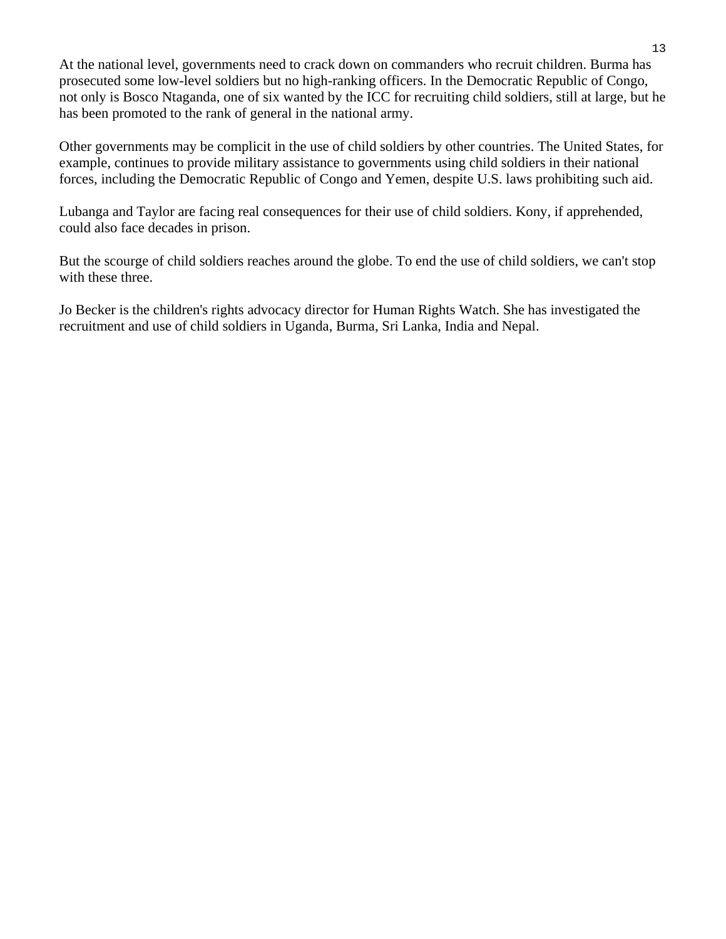At the national level, governments need to crack down on commanders who recruit children. Burma has prosecuted some low-level soldiers but no high-ranking officers. In the Democratic Republic of Congo, not only is Bosco Ntaganda, one of six wanted by the ICC for recruiting child soldiers, still at large, but he has been promoted to the rank of general in the national army.

Other governments may be complicit in the use of child soldiers by other countries. The United States, for example, continues to provide military assistance to governments using child soldiers in their national forces, including the Democratic Republic of Congo and Yemen, despite U.S. laws prohibiting such aid.

Lubanga and Taylor are facing real consequences for their use of child soldiers. Kony, if apprehended, could also face decades in prison.

But the scourge of child soldiers reaches around the globe. To end the use of child soldiers, we can't stop with these three.

Jo Becker is the children's rights advocacy director for Human Rights Watch. She has investigated the recruitment and use of child soldiers in Uganda, Burma, Sri Lanka, India and Nepal.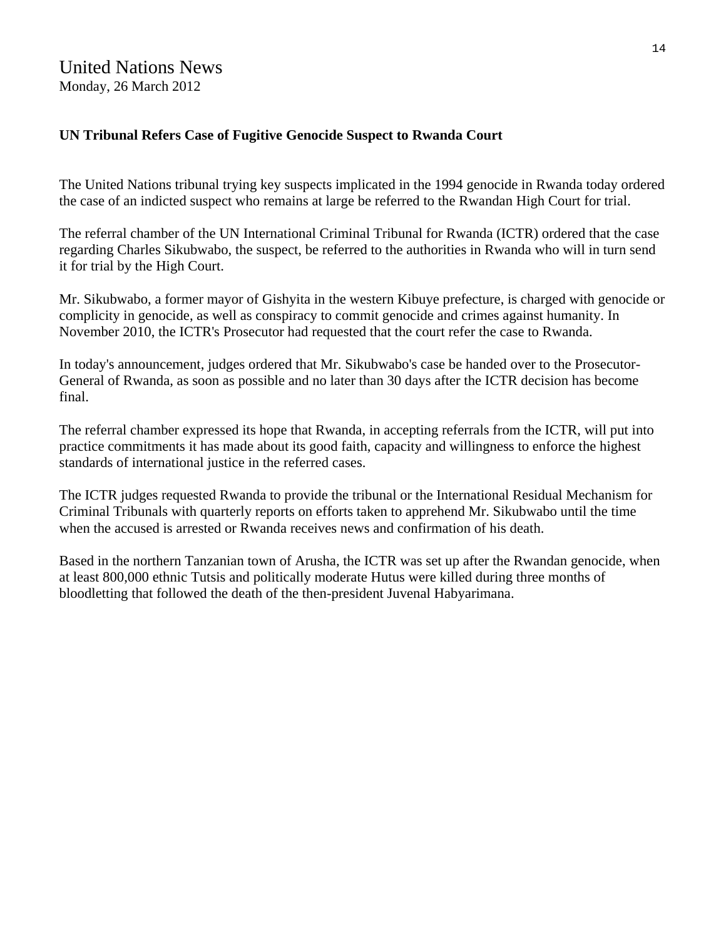### **UN Tribunal Refers Case of Fugitive Genocide Suspect to Rwanda Court**

The United Nations tribunal trying key suspects implicated in the 1994 genocide in Rwanda today ordered the case of an indicted suspect who remains at large be referred to the Rwandan High Court for trial.

The referral chamber of the UN International Criminal Tribunal for Rwanda (ICTR) ordered that the case regarding Charles Sikubwabo, the suspect, be referred to the authorities in Rwanda who will in turn send it for trial by the High Court.

Mr. Sikubwabo, a former mayor of Gishyita in the western Kibuye prefecture, is charged with genocide or complicity in genocide, as well as conspiracy to commit genocide and crimes against humanity. In November 2010, the ICTR's Prosecutor had requested that the court refer the case to Rwanda.

In today's announcement, judges ordered that Mr. Sikubwabo's case be handed over to the Prosecutor-General of Rwanda, as soon as possible and no later than 30 days after the ICTR decision has become final.

The referral chamber expressed its hope that Rwanda, in accepting referrals from the ICTR, will put into practice commitments it has made about its good faith, capacity and willingness to enforce the highest standards of international justice in the referred cases.

The ICTR judges requested Rwanda to provide the tribunal or the International Residual Mechanism for Criminal Tribunals with quarterly reports on efforts taken to apprehend Mr. Sikubwabo until the time when the accused is arrested or Rwanda receives news and confirmation of his death.

Based in the northern Tanzanian town of Arusha, the ICTR was set up after the Rwandan genocide, when at least 800,000 ethnic Tutsis and politically moderate Hutus were killed during three months of bloodletting that followed the death of the then-president Juvenal Habyarimana.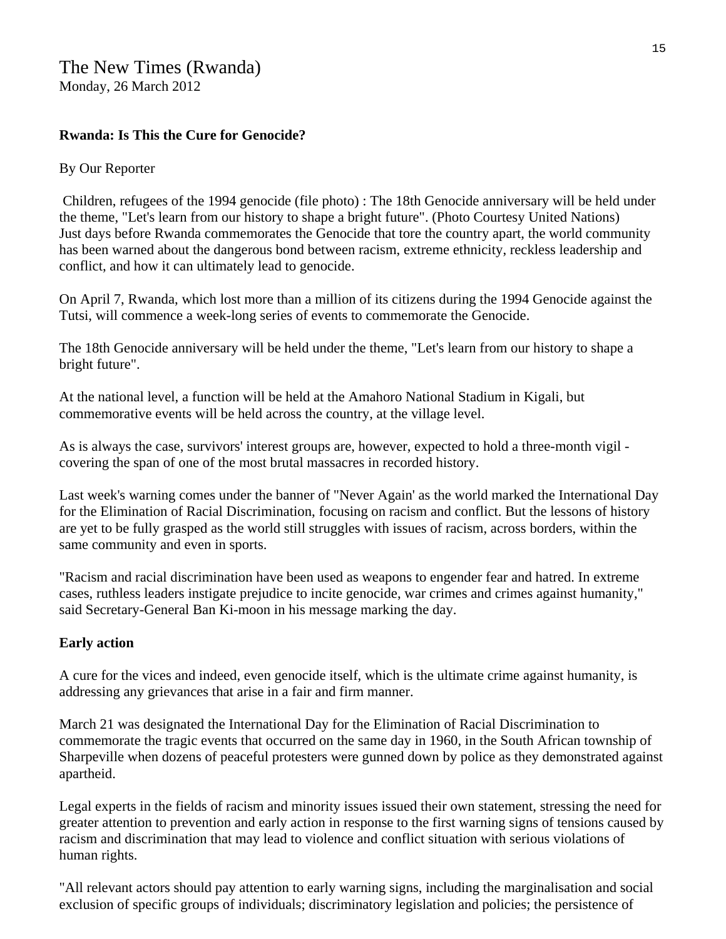### **Rwanda: Is This the Cure for Genocide?**

### By Our Reporter

 Children, refugees of the 1994 genocide (file photo) : The 18th Genocide anniversary will be held under the theme, "Let's learn from our history to shape a bright future". (Photo Courtesy United Nations) Just days before Rwanda commemorates the Genocide that tore the country apart, the world community has been warned about the dangerous bond between racism, extreme ethnicity, reckless leadership and conflict, and how it can ultimately lead to genocide.

On April 7, Rwanda, which lost more than a million of its citizens during the 1994 Genocide against the Tutsi, will commence a week-long series of events to commemorate the Genocide.

The 18th Genocide anniversary will be held under the theme, "Let's learn from our history to shape a bright future".

At the national level, a function will be held at the Amahoro National Stadium in Kigali, but commemorative events will be held across the country, at the village level.

As is always the case, survivors' interest groups are, however, expected to hold a three-month vigil covering the span of one of the most brutal massacres in recorded history.

Last week's warning comes under the banner of "Never Again' as the world marked the International Day for the Elimination of Racial Discrimination, focusing on racism and conflict. But the lessons of history are yet to be fully grasped as the world still struggles with issues of racism, across borders, within the same community and even in sports.

"Racism and racial discrimination have been used as weapons to engender fear and hatred. In extreme cases, ruthless leaders instigate prejudice to incite genocide, war crimes and crimes against humanity," said Secretary-General Ban Ki-moon in his message marking the day.

### **Early action**

A cure for the vices and indeed, even genocide itself, which is the ultimate crime against humanity, is addressing any grievances that arise in a fair and firm manner.

March 21 was designated the International Day for the Elimination of Racial Discrimination to commemorate the tragic events that occurred on the same day in 1960, in the South African township of Sharpeville when dozens of peaceful protesters were gunned down by police as they demonstrated against apartheid.

Legal experts in the fields of racism and minority issues issued their own statement, stressing the need for greater attention to prevention and early action in response to the first warning signs of tensions caused by racism and discrimination that may lead to violence and conflict situation with serious violations of human rights.

"All relevant actors should pay attention to early warning signs, including the marginalisation and social exclusion of specific groups of individuals; discriminatory legislation and policies; the persistence of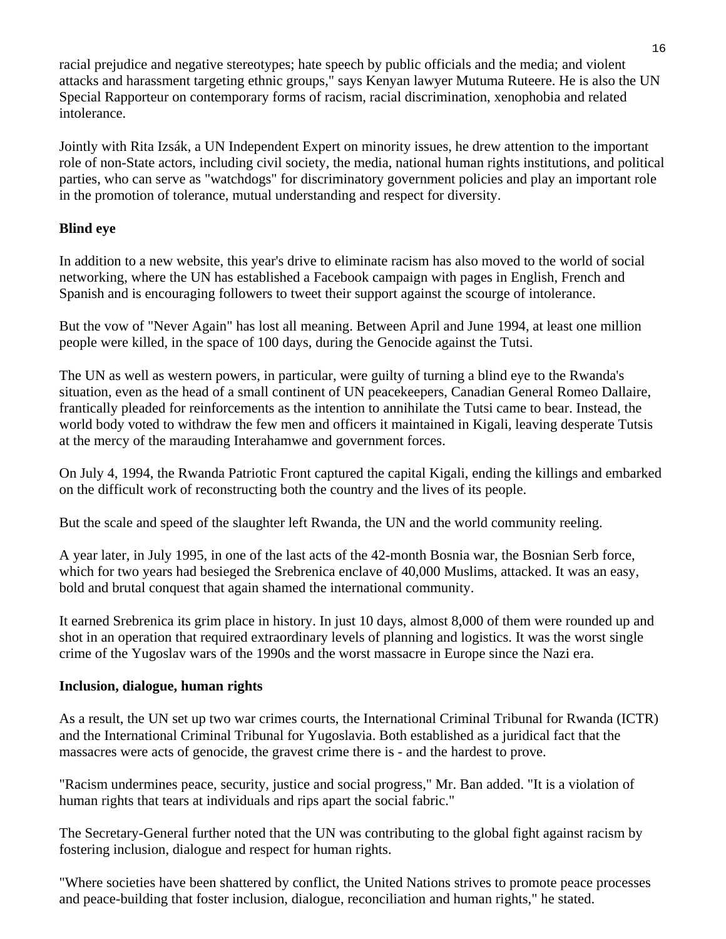racial prejudice and negative stereotypes; hate speech by public officials and the media; and violent attacks and harassment targeting ethnic groups," says Kenyan lawyer Mutuma Ruteere. He is also the UN Special Rapporteur on contemporary forms of racism, racial discrimination, xenophobia and related intolerance.

Jointly with Rita Izsák, a UN Independent Expert on minority issues, he drew attention to the important role of non-State actors, including civil society, the media, national human rights institutions, and political parties, who can serve as "watchdogs" for discriminatory government policies and play an important role in the promotion of tolerance, mutual understanding and respect for diversity.

### **Blind eye**

In addition to a new website, this year's drive to eliminate racism has also moved to the world of social networking, where the UN has established a Facebook campaign with pages in English, French and Spanish and is encouraging followers to tweet their support against the scourge of intolerance.

But the vow of "Never Again" has lost all meaning. Between April and June 1994, at least one million people were killed, in the space of 100 days, during the Genocide against the Tutsi.

The UN as well as western powers, in particular, were guilty of turning a blind eye to the Rwanda's situation, even as the head of a small continent of UN peacekeepers, Canadian General Romeo Dallaire, frantically pleaded for reinforcements as the intention to annihilate the Tutsi came to bear. Instead, the world body voted to withdraw the few men and officers it maintained in Kigali, leaving desperate Tutsis at the mercy of the marauding Interahamwe and government forces.

On July 4, 1994, the Rwanda Patriotic Front captured the capital Kigali, ending the killings and embarked on the difficult work of reconstructing both the country and the lives of its people.

But the scale and speed of the slaughter left Rwanda, the UN and the world community reeling.

A year later, in July 1995, in one of the last acts of the 42-month Bosnia war, the Bosnian Serb force, which for two years had besieged the Srebrenica enclave of 40,000 Muslims, attacked. It was an easy, bold and brutal conquest that again shamed the international community.

It earned Srebrenica its grim place in history. In just 10 days, almost 8,000 of them were rounded up and shot in an operation that required extraordinary levels of planning and logistics. It was the worst single crime of the Yugoslav wars of the 1990s and the worst massacre in Europe since the Nazi era.

### **Inclusion, dialogue, human rights**

As a result, the UN set up two war crimes courts, the International Criminal Tribunal for Rwanda (ICTR) and the International Criminal Tribunal for Yugoslavia. Both established as a juridical fact that the massacres were acts of genocide, the gravest crime there is - and the hardest to prove.

"Racism undermines peace, security, justice and social progress," Mr. Ban added. "It is a violation of human rights that tears at individuals and rips apart the social fabric."

The Secretary-General further noted that the UN was contributing to the global fight against racism by fostering inclusion, dialogue and respect for human rights.

"Where societies have been shattered by conflict, the United Nations strives to promote peace processes and peace-building that foster inclusion, dialogue, reconciliation and human rights," he stated.